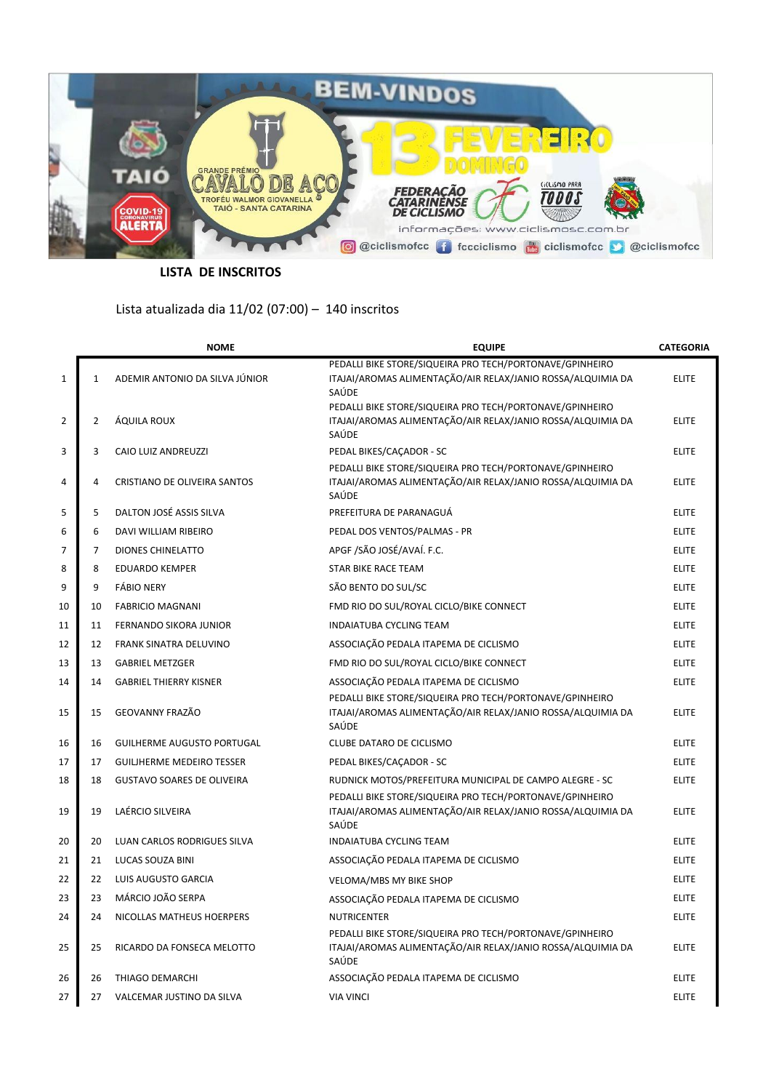

**LISTA DE INSCRITOS**

## Lista atualizada dia 11/02 (07:00) – 140 inscritos

|                |                | <b>NOME</b>                       | <b>EQUIPE</b>                                                                                                                    | <b>CATEGORIA</b> |
|----------------|----------------|-----------------------------------|----------------------------------------------------------------------------------------------------------------------------------|------------------|
| $\mathbf{1}$   | $\mathbf{1}$   | ADEMIR ANTONIO DA SILVA JÚNIOR    | PEDALLI BIKE STORE/SIQUEIRA PRO TECH/PORTONAVE/GPINHEIRO<br>ITAJAI/AROMAS ALIMENTAÇÃO/AIR RELAX/JANIO ROSSA/ALQUIMIA DA<br>SAÚDE | <b>ELITE</b>     |
| 2              | $\overline{2}$ | ÁQUILA ROUX                       | PEDALLI BIKE STORE/SIQUEIRA PRO TECH/PORTONAVE/GPINHEIRO<br>ITAJAI/AROMAS ALIMENTAÇÃO/AIR RELAX/JANIO ROSSA/ALQUIMIA DA<br>SAÚDE | <b>ELITE</b>     |
| 3              | 3              | CAIO LUIZ ANDREUZZI               | PEDAL BIKES/CAÇADOR - SC                                                                                                         | <b>ELITE</b>     |
| 4              | 4              | CRISTIANO DE OLIVEIRA SANTOS      | PEDALLI BIKE STORE/SIQUEIRA PRO TECH/PORTONAVE/GPINHEIRO<br>ITAJAI/AROMAS ALIMENTAÇÃO/AIR RELAX/JANIO ROSSA/ALQUIMIA DA<br>SAÚDE | <b>ELITE</b>     |
| 5              | 5              | DALTON JOSÉ ASSIS SILVA           | PREFEITURA DE PARANAGUÁ                                                                                                          | <b>ELITE</b>     |
| 6              | 6              | DAVI WILLIAM RIBEIRO              | PEDAL DOS VENTOS/PALMAS - PR                                                                                                     | <b>ELITE</b>     |
| $\overline{7}$ | $\overline{7}$ | <b>DIONES CHINELATTO</b>          | APGF /SÃO JOSÉ/AVAÍ. F.C.                                                                                                        | <b>ELITE</b>     |
| 8              | 8              | <b>EDUARDO KEMPER</b>             | STAR BIKE RACE TEAM                                                                                                              | <b>ELITE</b>     |
| 9              | 9              | <b>FÁBIO NERY</b>                 | SÃO BENTO DO SUL/SC                                                                                                              | <b>ELITE</b>     |
| 10             | 10             | <b>FABRICIO MAGNANI</b>           | FMD RIO DO SUL/ROYAL CICLO/BIKE CONNECT                                                                                          | <b>ELITE</b>     |
| 11             | 11             | FERNANDO SIKORA JUNIOR            | <b>INDAIATUBA CYCLING TEAM</b>                                                                                                   | <b>ELITE</b>     |
| 12             | 12             | FRANK SINATRA DELUVINO            | ASSOCIAÇÃO PEDALA ITAPEMA DE CICLISMO                                                                                            | <b>ELITE</b>     |
| 13             | 13             | <b>GABRIEL METZGER</b>            | FMD RIO DO SUL/ROYAL CICLO/BIKE CONNECT                                                                                          | <b>ELITE</b>     |
| 14             | 14             | <b>GABRIEL THIERRY KISNER</b>     | ASSOCIAÇÃO PEDALA ITAPEMA DE CICLISMO                                                                                            | <b>ELITE</b>     |
| 15             | 15             | GEOVANNY FRAZÃO                   | PEDALLI BIKE STORE/SIQUEIRA PRO TECH/PORTONAVE/GPINHEIRO<br>ITAJAI/AROMAS ALIMENTAÇÃO/AIR RELAX/JANIO ROSSA/ALQUIMIA DA<br>SAÚDE | <b>ELITE</b>     |
| 16             | 16             | <b>GUILHERME AUGUSTO PORTUGAL</b> | CLUBE DATARO DE CICLISMO                                                                                                         | <b>ELITE</b>     |
| 17             | 17             | <b>GUILIHERME MEDEIRO TESSER</b>  | PEDAL BIKES/CAÇADOR - SC                                                                                                         | <b>ELITE</b>     |
| 18             | 18             | <b>GUSTAVO SOARES DE OLIVEIRA</b> | RUDNICK MOTOS/PREFEITURA MUNICIPAL DE CAMPO ALEGRE - SC                                                                          | <b>ELITE</b>     |
| 19             | 19             | LAÉRCIO SILVEIRA                  | PEDALLI BIKE STORE/SIQUEIRA PRO TECH/PORTONAVE/GPINHEIRO<br>ITAJAI/AROMAS ALIMENTAÇÃO/AIR RELAX/JANIO ROSSA/ALQUIMIA DA<br>SAÚDE | <b>ELITE</b>     |
| 20             | 20             | LUAN CARLOS RODRIGUES SILVA       | INDAIATUBA CYCLING TEAM                                                                                                          | <b>ELITE</b>     |
| 21             | 21             | LUCAS SOUZA BINI                  | ASSOCIAÇÃO PEDALA ITAPEMA DE CICLISMO                                                                                            | <b>ELITE</b>     |
| 22             | 22             | LUIS AUGUSTO GARCIA               | VELOMA/MBS MY BIKE SHOP                                                                                                          | <b>ELITE</b>     |
| 23             | 23             | MÁRCIO JOÃO SERPA                 | ASSOCIAÇÃO PEDALA ITAPEMA DE CICLISMO                                                                                            | <b>ELITE</b>     |
| 24             | 24             | NICOLLAS MATHEUS HOERPERS         | <b>NUTRICENTER</b>                                                                                                               | <b>ELITE</b>     |
| 25             | 25             | RICARDO DA FONSECA MELOTTO        | PEDALLI BIKE STORE/SIQUEIRA PRO TECH/PORTONAVE/GPINHEIRO<br>ITAJAI/AROMAS ALIMENTAÇÃO/AIR RELAX/JANIO ROSSA/ALQUIMIA DA<br>SAÚDE | <b>ELITE</b>     |
| 26             | 26             | THIAGO DEMARCHI                   | ASSOCIAÇÃO PEDALA ITAPEMA DE CICLISMO                                                                                            | <b>ELITE</b>     |
| 27             | 27             | VALCEMAR JUSTINO DA SILVA         | <b>VIA VINCI</b>                                                                                                                 | <b>ELITE</b>     |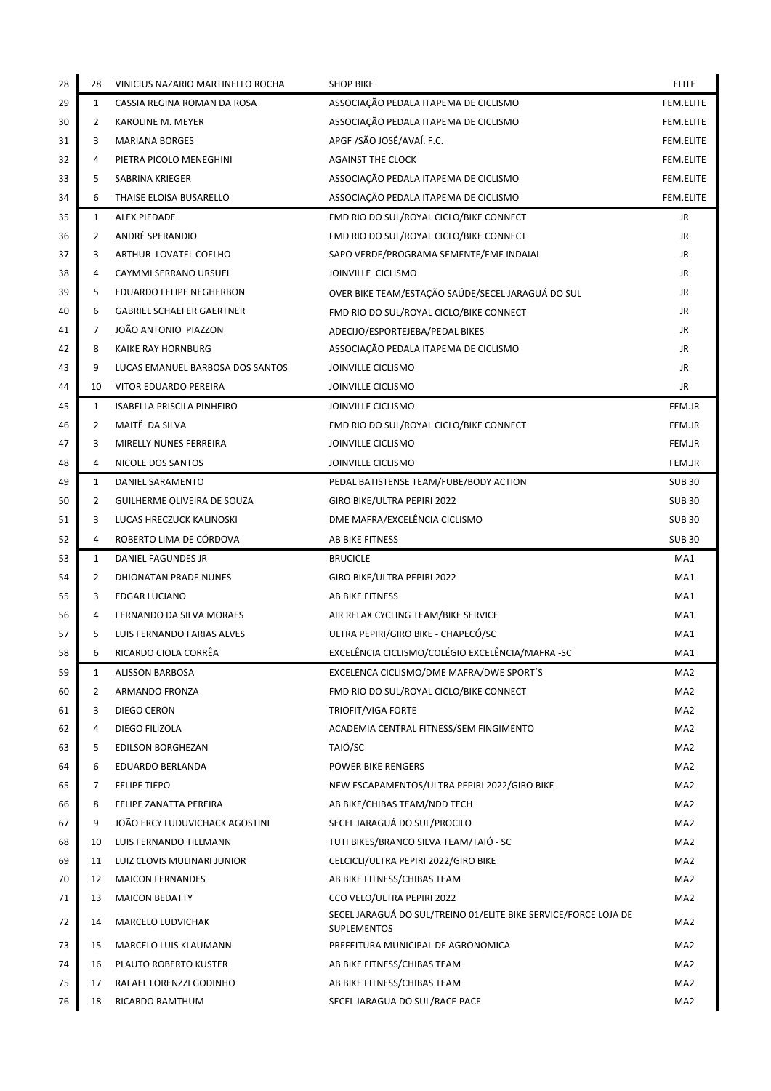| 28 | 28           | VINICIUS NAZARIO MARTINELLO ROCHA | <b>SHOP BIKE</b>                                                                      | <b>ELITE</b>    |
|----|--------------|-----------------------------------|---------------------------------------------------------------------------------------|-----------------|
| 29 | $\mathbf{1}$ | CASSIA REGINA ROMAN DA ROSA       | ASSOCIAÇÃO PEDALA ITAPEMA DE CICLISMO                                                 | FEM.ELITE       |
| 30 | 2            | KAROLINE M. MEYER                 | ASSOCIAÇÃO PEDALA ITAPEMA DE CICLISMO                                                 | FEM.ELITE       |
| 31 | 3            | <b>MARIANA BORGES</b>             | APGF /SÃO JOSÉ/AVAÍ. F.C.                                                             | FEM.ELITE       |
| 32 | 4            | PIETRA PICOLO MENEGHINI           | <b>AGAINST THE CLOCK</b>                                                              | FEM.ELITE       |
| 33 | 5            | SABRINA KRIEGER                   | ASSOCIAÇÃO PEDALA ITAPEMA DE CICLISMO                                                 | FEM.ELITE       |
| 34 | 6            | THAISE ELOISA BUSARELLO           | ASSOCIAÇÃO PEDALA ITAPEMA DE CICLISMO                                                 | FEM.ELITE       |
| 35 | 1            | ALEX PIEDADE                      | FMD RIO DO SUL/ROYAL CICLO/BIKE CONNECT                                               | JR              |
| 36 | 2            | ANDRÉ SPERANDIO                   | FMD RIO DO SUL/ROYAL CICLO/BIKE CONNECT                                               | JR              |
| 37 | 3            | ARTHUR LOVATEL COELHO             | SAPO VERDE/PROGRAMA SEMENTE/FME INDAIAL                                               | JR              |
| 38 | 4            | CAYMMI SERRANO URSUEL             | JOINVILLE CICLISMO                                                                    | JR              |
| 39 | 5            | EDUARDO FELIPE NEGHERBON          | OVER BIKE TEAM/ESTAÇÃO SAÚDE/SECEL JARAGUÁ DO SUL                                     | JR              |
| 40 | 6            | <b>GABRIEL SCHAEFER GAERTNER</b>  | FMD RIO DO SUL/ROYAL CICLO/BIKE CONNECT                                               | JR              |
| 41 | 7            | JOÃO ANTONIO PIAZZON              | ADECIJO/ESPORTEJEBA/PEDAL BIKES                                                       | JR              |
| 42 | 8            | KAIKE RAY HORNBURG                | ASSOCIAÇÃO PEDALA ITAPEMA DE CICLISMO                                                 | JR              |
| 43 | 9            | LUCAS EMANUEL BARBOSA DOS SANTOS  | JOINVILLE CICLISMO                                                                    | JR              |
| 44 | 10           | VITOR EDUARDO PEREIRA             | JOINVILLE CICLISMO                                                                    | JR              |
| 45 | 1            | <b>ISABELLA PRISCILA PINHEIRO</b> | JOINVILLE CICLISMO                                                                    | FEM.JR          |
| 46 | 2            | MAITÊ DA SILVA                    | FMD RIO DO SUL/ROYAL CICLO/BIKE CONNECT                                               | FEM.JR          |
| 47 | 3            | MIRELLY NUNES FERREIRA            | JOINVILLE CICLISMO                                                                    | FEM.JR          |
| 48 | 4            | NICOLE DOS SANTOS                 | JOINVILLE CICLISMO                                                                    | FEM.JR          |
| 49 | 1            | DANIEL SARAMENTO                  | PEDAL BATISTENSE TEAM/FUBE/BODY ACTION                                                | <b>SUB 30</b>   |
| 50 | 2            | GUILHERME OLIVEIRA DE SOUZA       | GIRO BIKE/ULTRA PEPIRI 2022                                                           | <b>SUB 30</b>   |
| 51 | 3            | LUCAS HRECZUCK KALINOSKI          | DME MAFRA/EXCELÊNCIA CICLISMO                                                         | <b>SUB 30</b>   |
| 52 | 4            | ROBERTO LIMA DE CÓRDOVA           | AB BIKE FITNESS                                                                       | <b>SUB30</b>    |
| 53 | $\mathbf{1}$ | DANIEL FAGUNDES JR                | <b>BRUCICLE</b>                                                                       | MA1             |
| 54 | 2            | DHIONATAN PRADE NUNES             | GIRO BIKE/ULTRA PEPIRI 2022                                                           | MA1             |
| 55 | 3            | <b>EDGAR LUCIANO</b>              | AB BIKE FITNESS                                                                       | MA1             |
| 56 | 4            | FERNANDO DA SILVA MORAES          | AIR RELAX CYCLING TEAM/BIKE SERVICE                                                   | MA1             |
| 57 | 5            | LUIS FERNANDO FARIAS ALVES        | ULTRA PEPIRI/GIRO BIKE - CHAPECÓ/SC                                                   | MA1             |
| 58 | 6            | RICARDO CIOLA CORRÊA              | EXCELÊNCIA CICLISMO/COLÉGIO EXCELÊNCIA/MAFRA -SC                                      | MA1             |
| 59 | 1            | <b>ALISSON BARBOSA</b>            | EXCELENCA CICLISMO/DME MAFRA/DWE SPORT'S                                              | MA2             |
| 60 | 2            | ARMANDO FRONZA                    | FMD RIO DO SUL/ROYAL CICLO/BIKE CONNECT                                               | MA2             |
| 61 | 3            | DIEGO CERON                       | <b>TRIOFIT/VIGA FORTE</b>                                                             | MA2             |
| 62 | 4            | DIEGO FILIZOLA                    | ACADEMIA CENTRAL FITNESS/SEM FINGIMENTO                                               | MA2             |
| 63 | 5            | <b>EDILSON BORGHEZAN</b>          | TAIÓ/SC                                                                               | MA2             |
| 64 | 6            | EDUARDO BERLANDA                  | <b>POWER BIKE RENGERS</b>                                                             | MA2             |
| 65 | 7            | <b>FELIPE TIEPO</b>               | NEW ESCAPAMENTOS/ULTRA PEPIRI 2022/GIRO BIKE                                          | MA2             |
| 66 | 8            | FELIPE ZANATTA PEREIRA            | AB BIKE/CHIBAS TEAM/NDD TECH                                                          | MA2             |
| 67 | 9            | JOÃO ERCY LUDUVICHACK AGOSTINI    | SECEL JARAGUÁ DO SUL/PROCILO                                                          | MA2             |
| 68 | 10           | LUIS FERNANDO TILLMANN            | TUTI BIKES/BRANCO SILVA TEAM/TAIO - SC                                                | MA2             |
| 69 | 11           | LUIZ CLOVIS MULINARI JUNIOR       | CELCICLI/ULTRA PEPIRI 2022/GIRO BIKE                                                  | MA2             |
| 70 | 12           | <b>MAICON FERNANDES</b>           | AB BIKE FITNESS/CHIBAS TEAM                                                           | MA2             |
| 71 | 13           | <b>MAICON BEDATTY</b>             | CCO VELO/ULTRA PEPIRI 2022                                                            | MA2             |
| 72 | 14           | MARCELO LUDVICHAK                 | SECEL JARAGUÁ DO SUL/TREINO 01/ELITE BIKE SERVICE/FORCE LOJA DE<br><b>SUPLEMENTOS</b> | MA2             |
| 73 | 15           | MARCELO LUIS KLAUMANN             | PREFEITURA MUNICIPAL DE AGRONOMICA                                                    | MA2             |
| 74 | 16           | PLAUTO ROBERTO KUSTER             | AB BIKE FITNESS/CHIBAS TEAM                                                           | MA2             |
| 75 | 17           | RAFAEL LORENZZI GODINHO           | AB BIKE FITNESS/CHIBAS TEAM                                                           | MA <sub>2</sub> |
| 76 | 18           | RICARDO RAMTHUM                   | SECEL JARAGUA DO SUL/RACE PACE                                                        | MA <sub>2</sub> |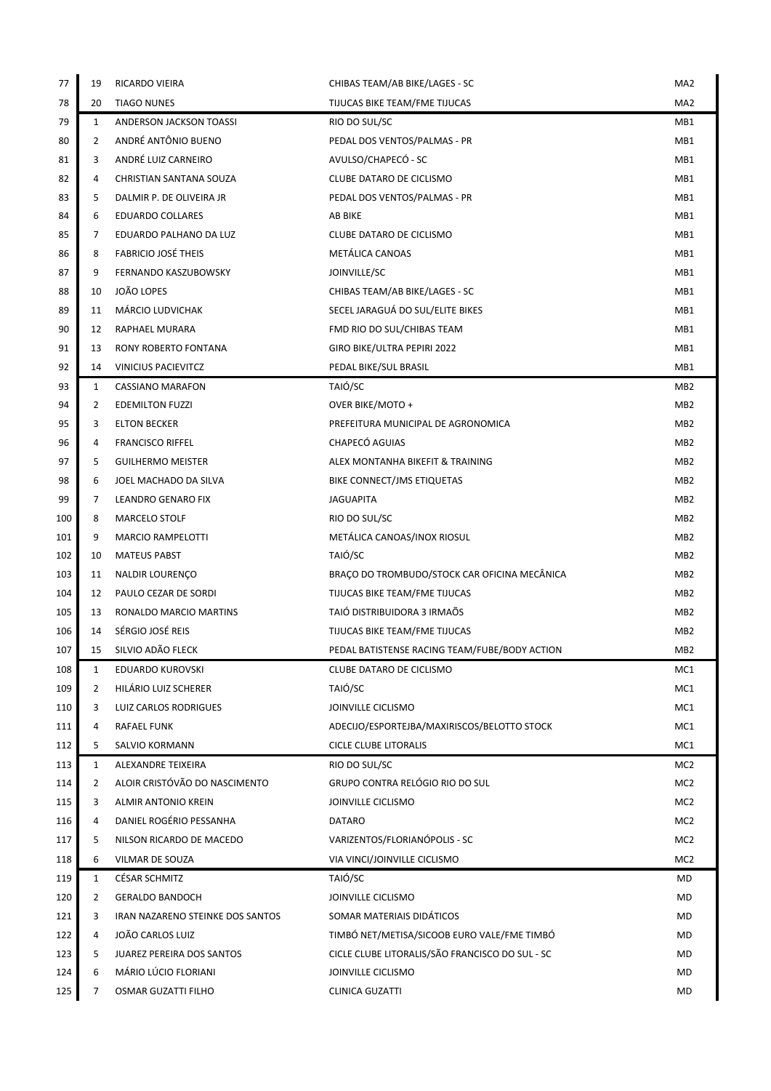| 77         | 19      | RICARDO VIEIRA                                | CHIBAS TEAM/AB BIKE/LAGES - SC                  | MA <sub>2</sub>                    |
|------------|---------|-----------------------------------------------|-------------------------------------------------|------------------------------------|
| 78         | 20      | <b>TIAGO NUNES</b>                            | TIJUCAS BIKE TEAM/FME TIJUCAS                   | MA <sub>2</sub>                    |
| 79         | 1       | ANDERSON JACKSON TOASSI                       | RIO DO SUL/SC                                   | MB1                                |
| 80         | 2       | ANDRÉ ANTÔNIO BUENO                           | PEDAL DOS VENTOS/PALMAS - PR                    | MB1                                |
| 81         | 3       | ANDRÉ LUIZ CARNEIRO                           | AVULSO/CHAPECÓ - SC                             | MB1                                |
| 82         | 4       | CHRISTIAN SANTANA SOUZA                       | CLUBE DATARO DE CICLISMO                        | MB1                                |
| 83         | 5       | DALMIR P. DE OLIVEIRA JR                      | PEDAL DOS VENTOS/PALMAS - PR                    | MB1                                |
| 84         | 6       | <b>EDUARDO COLLARES</b>                       | AB BIKE                                         | MB1                                |
| 85         | 7       | EDUARDO PALHANO DA LUZ                        | CLUBE DATARO DE CICLISMO                        | MB1                                |
| 86         | 8       | <b>FABRICIO JOSÉ THEIS</b>                    | <b>METÁLICA CANOAS</b>                          | MB1                                |
| 87         | 9       | FERNANDO KASZUBOWSKY                          | JOINVILLE/SC                                    | MB1                                |
| 88         | 10      | JOÃO LOPES                                    | CHIBAS TEAM/AB BIKE/LAGES - SC                  | MB1                                |
| 89         | 11      | MÁRCIO LUDVICHAK                              | SECEL JARAGUÁ DO SUL/ELITE BIKES                | MB1                                |
| 90         | 12      | RAPHAEL MURARA                                | FMD RIO DO SUL/CHIBAS TEAM                      | MB1                                |
| 91         | 13      | <b>RONY ROBERTO FONTANA</b>                   | GIRO BIKE/ULTRA PEPIRI 2022                     | MB1                                |
| 92         | 14      | <b>VINICIUS PACIEVITCZ</b>                    | PEDAL BIKE/SUL BRASIL                           | MB1                                |
| 93         | 1       | <b>CASSIANO MARAFON</b>                       | TAIÓ/SC                                         | MB <sub>2</sub>                    |
| 94         | 2       | <b>EDEMILTON FUZZI</b>                        | OVER BIKE/MOTO +                                | MB <sub>2</sub>                    |
| 95         | 3       | <b>ELTON BECKER</b>                           | PREFEITURA MUNICIPAL DE AGRONOMICA              | MB <sub>2</sub>                    |
| 96         | 4       | <b>FRANCISCO RIFFEL</b>                       | CHAPECÓ AGUIAS                                  | MB <sub>2</sub>                    |
| 97         | 5       | <b>GUILHERMO MEISTER</b>                      | ALEX MONTANHA BIKEFIT & TRAINING                | MB <sub>2</sub>                    |
| 98         | 6       | JOEL MACHADO DA SILVA                         | BIKE CONNECT/JMS ETIQUETAS                      | MB <sub>2</sub>                    |
| 99         | 7       | LEANDRO GENARO FIX                            | <b>JAGUAPITA</b>                                | MB <sub>2</sub>                    |
| 100        | 8       | <b>MARCELO STOLF</b>                          | RIO DO SUL/SC                                   | MB <sub>2</sub>                    |
| 101        | 9<br>10 | <b>MARCIO RAMPELOTTI</b>                      | METÁLICA CANOAS/INOX RIOSUL<br>TAIÓ/SC          | MB <sub>2</sub><br>MB <sub>2</sub> |
| 102<br>103 | 11      | <b>MATEUS PABST</b><br><b>NALDIR LOURENÇO</b> | BRAÇO DO TROMBUDO/STOCK CAR OFICINA MECÂNICA    | MB <sub>2</sub>                    |
| 104        | 12      | PAULO CEZAR DE SORDI                          | TIJUCAS BIKE TEAM/FME TIJUCAS                   | MB <sub>2</sub>                    |
| 105        | 13      | RONALDO MARCIO MARTINS                        | TAIÓ DISTRIBUIDORA 3 IRMAÕS                     | MB <sub>2</sub>                    |
| 106        | 14      | SÉRGIO JOSÉ REIS                              | TIJUCAS BIKE TEAM/FME TIJUCAS                   | MB <sub>2</sub>                    |
| 107        | 15      | SILVIO ADÃO FLECK                             | PEDAL BATISTENSE RACING TEAM/FUBE/BODY ACTION   | MB <sub>2</sub>                    |
| 108        | 1       | <b>EDUARDO KUROVSKI</b>                       | CLUBE DATARO DE CICLISMO                        | MC1                                |
| 109        | 2       | HILARIO LUIZ SCHERER                          | TAIÓ/SC                                         | MC1                                |
| 110        | 3       | LUIZ CARLOS RODRIGUES                         | JOINVILLE CICLISMO                              | MC1                                |
| 111        | 4       | RAFAEL FUNK                                   | ADECIJO/ESPORTEJBA/MAXIRISCOS/BELOTTO STOCK     | MC1                                |
| 112        | 5       | SALVIO KORMANN                                | CICLE CLUBE LITORALIS                           | MC1                                |
| 113        | 1       | ALEXANDRE TEIXEIRA                            | RIO DO SUL/SC                                   | MC <sub>2</sub>                    |
| 114        | 2       | ALOIR CRISTÓVÃO DO NASCIMENTO                 | GRUPO CONTRA RELÓGIO RIO DO SUL                 | MC <sub>2</sub>                    |
| 115        | 3       | ALMIR ANTONIO KREIN                           | JOINVILLE CICLISMO                              | MC <sub>2</sub>                    |
| 116        | 4       | DANIEL ROGÉRIO PESSANHA                       | DATARO                                          | MC <sub>2</sub>                    |
| 117        | 5       | NILSON RICARDO DE MACEDO                      | VARIZENTOS/FLORIANÓPOLIS - SC                   | MC <sub>2</sub>                    |
| 118        | 6       | VILMAR DE SOUZA                               | VIA VINCI/JOINVILLE CICLISMO                    | MC <sub>2</sub>                    |
| 119        | 1       | CÉSAR SCHMITZ                                 | TAIÓ/SC                                         | MD                                 |
| 120        | 2       | <b>GERALDO BANDOCH</b>                        | JOINVILLE CICLISMO                              | MD                                 |
| 121        | 3       | IRAN NAZARENO STEINKE DOS SANTOS              | SOMAR MATERIAIS DIDÁTICOS                       | MD                                 |
| 122        | 4       | JOÃO CARLOS LUIZ                              | TIMBÓ NET/METISA/SICOOB EURO VALE/FME TIMBÓ     | MD                                 |
| 123        | 5       | <b>JUAREZ PEREIRA DOS SANTOS</b>              | CICLE CLUBE LITORALIS/SÃO FRANCISCO DO SUL - SC | MD                                 |
| 124        | 6       | MÁRIO LÚCIO FLORIANI                          | JOINVILLE CICLISMO                              | MD                                 |
| 125        | 7       | OSMAR GUZATTI FILHO                           | CLINICA GUZATTI                                 | MD                                 |